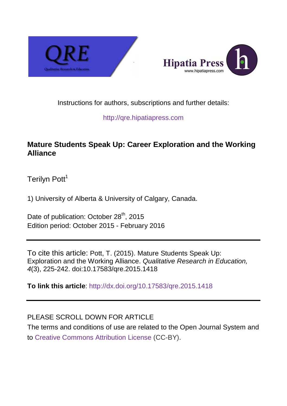



# Instructions for authors, subscriptions and further details:

## [http://qre.hipatiapress.com](http://qre.hipatiapress.com/)

# **Mature Students Speak Up: Career Exploration and the Working Alliance**

Terilyn Pott<sup>1</sup>

1) University of Alberta & University of Calgary, Canada.

Date of publication: October 28<sup>th</sup>, 2015 Edition period: October 2015 - February 2016

To cite this article: Pott, T. (2015). Mature Students Speak Up: Exploration and the Working Alliance. *Qualitative Research in Education, 4*(3), 225-242. doi:10.17583/qre.2015.1418

**To link this article**:<http://dx.doi.org/10.17583/qre.2015.1418>

# PLEASE SCROLL DOWN FOR ARTICLE

The terms and conditions of use are related to the Open Journal System and to [Creative Commons Attribution License](http://creativecommons.org/licenses/by/4.0/) (CC-BY).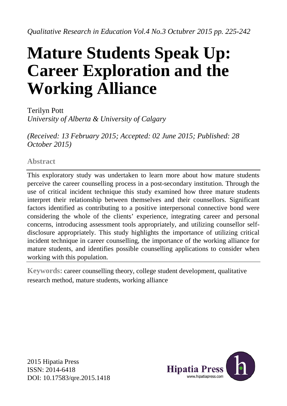# **Mature Students Speak Up: Career Exploration and the Working Alliance**

Terilyn Pott *University of Alberta & University of Calgary*

*(Received: 13 February 2015; Accepted: 02 June 2015; Published: 28 October 2015)* 

**Abstract**

This exploratory study was undertaken to learn more about how mature students perceive the career counselling process in a post-secondary institution. Through the use of critical incident technique this study examined how three mature students interpret their relationship between themselves and their counsellors. Significant factors identified as contributing to a positive interpersonal connective bond were considering the whole of the clients' experience, integrating career and personal concerns, introducing assessment tools appropriately, and utilizing counsellor selfdisclosure appropriately. This study highlights the importance of utilizing critical incident technique in career counselling, the importance of the working alliance for mature students, and identifies possible counselling applications to consider when working with this population.

**Keywords:** career counselling theory, college student development, qualitative research method, mature students, working alliance

2015 Hipatia Press ISSN: 2014-6418 DOI: 10.17583/qre.2015.1418

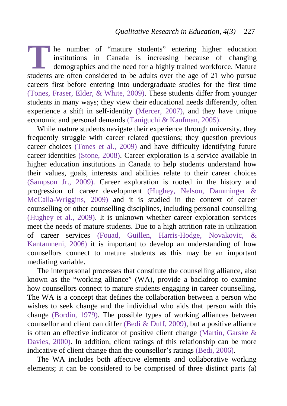he number of "mature students" entering higher education institutions in Canada is increasing because of changing demographics and the need for a highly trained workforce. Mature **Exercise 19 Secure 19 Secure 19 Secure 19 Secure 19 Secure 19 Secure 2013**<br> **The mumber of the considered to be adults over the age of 21 who pursue students are often considered to be adults over the age of 21 who pursue** careers first before entering into undergraduate studies for the first time [\(Tones, Fraser, Elder, & White, 2009\)](#page-17-0). These students differ from younger students in many ways; they view their educational needs differently, often experience a shift in self-identity [\(Mercer, 2007\)](#page-16-0), and they have unique economic and personal demands [\(Taniguchi & Kaufman, 2005\)](#page-17-1).

While mature students navigate their experience through university, they frequently struggle with career related questions; they question previous career choices [\(Tones et al., 2009\)](#page-17-0) and have difficulty identifying future career identities [\(Stone, 2008\)](#page-17-2). Career exploration is a service available in higher education institutions in Canada to help students understand how their values, goals, interests and abilities relate to their career choices [\(Sampson Jr., 2009\)](#page-16-1). Career exploration is rooted in the history and progression of career development [\(Hughey, Nelson, Damminger &](#page-16-2)  [McCalla-Wriggins, 2009\)](#page-16-2) and it is studied in the context of career counselling or other counselling disciplines, including personal counselling [\(Hughey et al., 2009\)](#page-16-2). It is unknown whether career exploration services meet the needs of mature students. Due to a high attrition rate in utilization of career services [\(Fouad, Guillen, Harris-Hodge, Novakovic, &](#page-15-0)  [Kantamneni, 2006\)](#page-15-0) it is important to develop an understanding of how counsellors connect to mature students as this may be an important mediating variable.

The interpersonal processes that constitute the counselling alliance, also known as the "working alliance" (WA), provide a backdrop to examine how counsellors connect to mature students engaging in career counselling. The WA is a concept that defines the collaboration between a person who wishes to seek change and the individual who aids that person with this change [\(Bordin, 1979\)](#page-15-1). The possible types of working alliances between counsellor and client can differ [\(Bedi & Duff, 2009\)](#page-15-2), but a positive alliance is often an effective indicator of positive client change [\(Martin, Garske &](#page-16-3)  [Davies, 2000\)](#page-16-3). In addition, client ratings of this relationship can be more indicative of client change than the counsellor's ratings [\(Bedi, 2006\)](#page-14-0).

The WA includes both affective elements and collaborative working elements; it can be considered to be comprised of three distinct parts (a)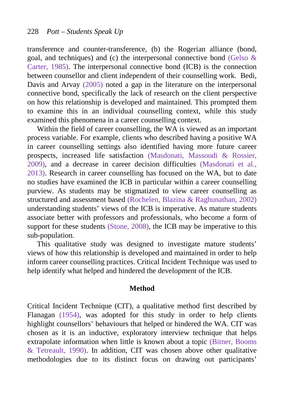transference and counter-transference, (b) the Rogerian alliance (bond, goal, and techniques) and (c) the interpersonal connective bond [\(Gelso &](#page-15-3)  [Carter, 1985\)](#page-15-3). The interpersonal connective bond (ICB) is the connection between counsellor and client independent of their counselling work. Bedi, Davis and Arvay [\(2005\)](#page-14-1) noted a gap in the literature on the interpersonal connective bond, specifically the lack of research on the client perspective on how this relationship is developed and maintained. This prompted them to examine this in an individual counselling context, while this study examined this phenomena in a career counselling context.

Within the field of career counselling, the WA is viewed as an important process variable. For example, clients who described having a positive WA in career counselling settings also identified having more future career prospects, increased life satisfaction [\(Masdonati, Massoudi & Rossier,](#page-16-4)  [2009\)](#page-16-4), and a decrease in career decision difficulties [\(Masdonati et al.,](#page-16-5)  [2013\)](#page-16-5). Research in career counselling has focused on the WA, but to date no studies have examined the ICB in particular within a career counselling purview. As students may be stigmatized to view career counselling as structured and assessment based [\(Rochelen, Blazina & Raghunathan, 2002\)](#page-16-6) understanding students' views of the ICB is imperative. As mature students associate better with professors and professionals, who become a form of support for these students [\(Stone, 2008\)](#page-17-2), the ICB may be imperative to this sub-population.

This qualitative study was designed to investigate mature students' views of how this relationship is developed and maintained in order to help inform career counselling practices. Critical Incident Technique was used to help identify what helped and hindered the development of the ICB.

#### **Method**

Critical Incident Technique (CIT), a qualitative method first described by Flanagan [\(1954\)](#page-15-4), was adopted for this study in order to help clients highlight counsellors' behaviours that helped or hindered the WA. CIT was chosen as it is an inductive, exploratory interview technique that helps extrapolate information when little is known about a topic [\(Bitner, Booms](#page-15-5)  [& Tetreault, 1990\)](#page-15-5). In addition, CIT was chosen above other qualitative methodologies due to its distinct focus on drawing out participants'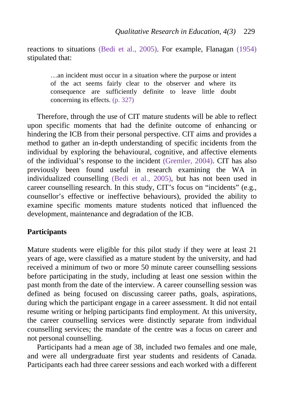reactions to situations [\(Bedi et al., 2005\)](#page-14-1). For example, Flanagan [\(1954\)](#page-15-4) stipulated that:

…an incident must occur in a situation where the purpose or intent of the act seems fairly clear to the observer and where its consequence are sufficiently definite to leave little doubt concerning its effects. [\(p. 327\)](#page-15-4)

Therefore, through the use of CIT mature students will be able to reflect upon specific moments that had the definite outcome of enhancing or hindering the ICB from their personal perspective. CIT aims and provides a method to gather an in-depth understanding of specific incidents from the individual by exploring the behavioural, cognitive, and affective elements of the individual's response to the incident [\(Gremler, 2004\)](#page-15-6). CIT has also previously been found useful in research examining the WA in individualized counselling [\(Bedi et al., 2005\)](#page-14-1), but has not been used in career counselling research. In this study, CIT's focus on "incidents" (e.g., counsellor's effective or ineffective behaviours), provided the ability to examine specific moments mature students noticed that influenced the development, maintenance and degradation of the ICB.

# **Participants**

Mature students were eligible for this pilot study if they were at least 21 years of age, were classified as a mature student by the university, and had received a minimum of two or more 50 minute career counselling sessions before participating in the study, including at least one session within the past month from the date of the interview. A career counselling session was defined as being focused on discussing career paths, goals, aspirations, during which the participant engage in a career assessment. It did not entail resume writing or helping participants find employment. At this university, the career counselling services were distinctly separate from individual counselling services; the mandate of the centre was a focus on career and not personal counselling.

Participants had a mean age of 38, included two females and one male, and were all undergraduate first year students and residents of Canada. Participants each had three career sessions and each worked with a different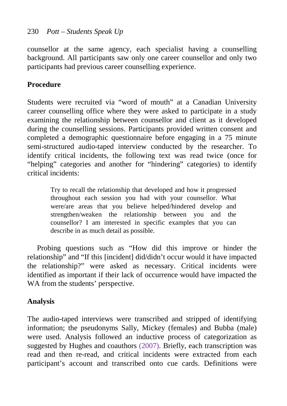# 230 *Pott – Students Speak Up*

counsellor at the same agency, each specialist having a counselling background. All participants saw only one career counsellor and only two participants had previous career counselling experience.

# **Procedure**

Students were recruited via "word of mouth" at a Canadian University career counselling office where they were asked to participate in a study examining the relationship between counsellor and client as it developed during the counselling sessions. Participants provided written consent and completed a demographic questionnaire before engaging in a 75 minute semi-structured audio-taped interview conducted by the researcher. To identify critical incidents, the following text was read twice (once for "helping" categories and another for "hindering" categories) to identify critical incidents:

Try to recall the relationship that developed and how it progressed throughout each session you had with your counsellor. What were/are areas that you believe helped/hindered develop and strengthen/weaken the relationship between you and the counsellor? I am interested in specific examples that you can describe in as much detail as possible.

Probing questions such as "How did this improve or hinder the relationship" and "If this [incident] did/didn't occur would it have impacted the relationship?" were asked as necessary. Critical incidents were identified as important if their lack of occurrence would have impacted the WA from the students' perspective.

# **Analysis**

The audio-taped interviews were transcribed and stripped of identifying information; the pseudonyms Sally, Mickey (females) and Bubba (male) were used. Analysis followed an inductive process of categorization as suggested by Hughes and coauthors [\(2007\)](#page-16-7). Briefly, each transcription was read and then re-read, and critical incidents were extracted from each participant's account and transcribed onto cue cards. Definitions were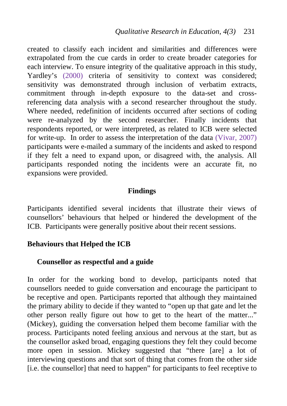created to classify each incident and similarities and differences were extrapolated from the cue cards in order to create broader categories for each interview. To ensure integrity of the qualitative approach in this study, Yardley's [\(2000\)](#page-17-3) criteria of sensitivity to context was considered; sensitivity was demonstrated through inclusion of verbatim extracts, commitment through in-depth exposure to the data-set and crossreferencing data analysis with a second researcher throughout the study. Where needed, redefinition of incidents occurred after sections of coding were re-analyzed by the second researcher. Finally incidents that respondents reported, or were interpreted, as related to ICB were selected for write-up. In order to assess the interpretation of the data [\(Vivar, 2007\)](#page-17-4) participants were e-mailed a summary of the incidents and asked to respond if they felt a need to expand upon, or disagreed with, the analysis. All participants responded noting the incidents were an accurate fit, no expansions were provided.

#### **Findings**

Participants identified several incidents that illustrate their views of counsellors' behaviours that helped or hindered the development of the ICB. Participants were generally positive about their recent sessions.

## **Behaviours that Helped the ICB**

## **Counsellor as respectful and a guide**

In order for the working bond to develop, participants noted that counsellors needed to guide conversation and encourage the participant to be receptive and open. Participants reported that although they maintained the primary ability to decide if they wanted to "open up that gate and let the other person really figure out how to get to the heart of the matter..." (Mickey), guiding the conversation helped them become familiar with the process. Participants noted feeling anxious and nervous at the start, but as the counsellor asked broad, engaging questions they felt they could become more open in session. Mickey suggested that "there [are] a lot of interviewing questions and that sort of thing that comes from the other side [i.e. the counsellor] that need to happen" for participants to feel receptive to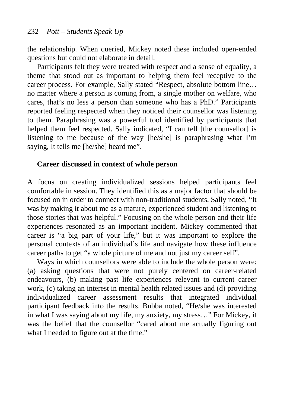the relationship. When queried, Mickey noted these included open-ended questions but could not elaborate in detail.

Participants felt they were treated with respect and a sense of equality, a theme that stood out as important to helping them feel receptive to the career process. For example, Sally stated "Respect, absolute bottom line… no matter where a person is coming from, a single mother on welfare, who cares, that's no less a person than someone who has a PhD." Participants reported feeling respected when they noticed their counsellor was listening to them. Paraphrasing was a powerful tool identified by participants that helped them feel respected. Sally indicated, "I can tell [the counsellor] is listening to me because of the way [he/she] is paraphrasing what I'm saying, It tells me [he/she] heard me".

#### **Career discussed in context of whole person**

A focus on creating individualized sessions helped participants feel comfortable in session. They identified this as a major factor that should be focused on in order to connect with non-traditional students. Sally noted, "It was by making it about me as a mature, experienced student and listening to those stories that was helpful." Focusing on the whole person and their life experiences resonated as an important incident. Mickey commented that career is "a big part of your life," but it was important to explore the personal contexts of an individual's life and navigate how these influence career paths to get "a whole picture of me and not just my career self".

Ways in which counsellors were able to include the whole person were: (a) asking questions that were not purely centered on career-related endeavours, (b) making past life experiences relevant to current career work, (c) taking an interest in mental health related issues and (d) providing individualized career assessment results that integrated individual participant feedback into the results. Bubba noted, "He/she was interested in what I was saying about my life, my anxiety, my stress…" For Mickey, it was the belief that the counsellor "cared about me actually figuring out what I needed to figure out at the time."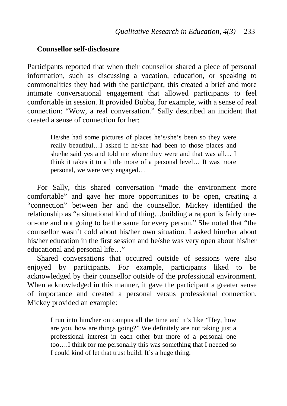## **Counsellor self-disclosure**

Participants reported that when their counsellor shared a piece of personal information, such as discussing a vacation, education, or speaking to commonalities they had with the participant, this created a brief and more intimate conversational engagement that allowed participants to feel comfortable in session. It provided Bubba, for example, with a sense of real connection: "Wow, a real conversation." Sally described an incident that created a sense of connection for her:

> He/she had some pictures of places he's/she's been so they were really beautiful…I asked if he/she had been to those places and she/he said yes and told me where they were and that was all… I think it takes it to a little more of a personal level… It was more personal, we were very engaged…

For Sally, this shared conversation "made the environment more comfortable" and gave her more opportunities to be open, creating a "connection" between her and the counsellor. Mickey identified the relationship as "a situational kind of thing…building a rapport is fairly oneon-one and not going to be the same for every person." She noted that "the counsellor wasn't cold about his/her own situation. I asked him/her about his/her education in the first session and he/she was very open about his/her educational and personal life…"

Shared conversations that occurred outside of sessions were also enjoyed by participants. For example, participants liked to be acknowledged by their counsellor outside of the professional environment. When acknowledged in this manner, it gave the participant a greater sense of importance and created a personal versus professional connection. Mickey provided an example:

> I run into him/her on campus all the time and it's like "Hey, how are you, how are things going?" We definitely are not taking just a professional interest in each other but more of a personal one too….I think for me personally this was something that I needed so I could kind of let that trust build. It's a huge thing.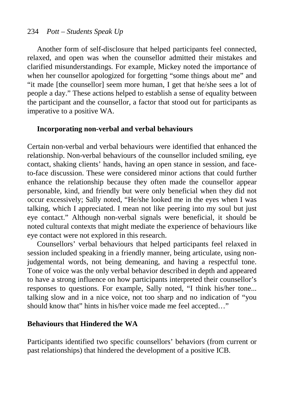# 234 *Pott – Students Speak Up*

Another form of self-disclosure that helped participants feel connected, relaxed, and open was when the counsellor admitted their mistakes and clarified misunderstandings. For example, Mickey noted the importance of when her counsellor apologized for forgetting "some things about me" and "it made [the counsellor] seem more human, I get that he/she sees a lot of people a day." These actions helped to establish a sense of equality between the participant and the counsellor, a factor that stood out for participants as imperative to a positive WA.

## **Incorporating non-verbal and verbal behaviours**

Certain non-verbal and verbal behaviours were identified that enhanced the relationship. Non-verbal behaviours of the counsellor included smiling, eye contact, shaking clients' hands, having an open stance in session, and faceto-face discussion. These were considered minor actions that could further enhance the relationship because they often made the counsellor appear personable, kind, and friendly but were only beneficial when they did not occur excessively; Sally noted, "He/she looked me in the eyes when I was talking, which I appreciated. I mean not like peering into my soul but just eye contact." Although non-verbal signals were beneficial, it should be noted cultural contexts that might mediate the experience of behaviours like eye contact were not explored in this research.

Counsellors' verbal behaviours that helped participants feel relaxed in session included speaking in a friendly manner, being articulate, using nonjudgemental words, not being demeaning, and having a respectful tone. Tone of voice was the only verbal behavior described in depth and appeared to have a strong influence on how participants interpreted their counsellor's responses to questions. For example, Sally noted, "I think his/her tone... talking slow and in a nice voice, not too sharp and no indication of "you should know that" hints in his/her voice made me feel accepted…"

## **Behaviours that Hindered the WA**

Participants identified two specific counsellors' behaviors (from current or past relationships) that hindered the development of a positive ICB.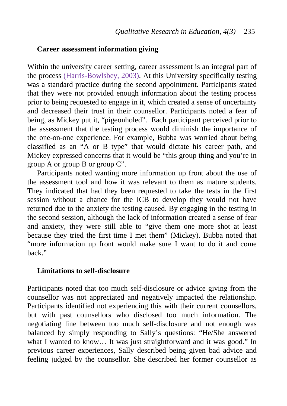#### **Career assessment information giving**

Within the university career setting, career assessment is an integral part of the process [\(Harris-Bowlsbey, 2003\)](#page-15-7). At this University specifically testing was a standard practice during the second appointment. Participants stated that they were not provided enough information about the testing process prior to being requested to engage in it, which created a sense of uncertainty and decreased their trust in their counsellor. Participants noted a fear of being, as Mickey put it, "pigeonholed". Each participant perceived prior to the assessment that the testing process would diminish the importance of the one-on-one experience. For example, Bubba was worried about being classified as an "A or B type" that would dictate his career path, and Mickey expressed concerns that it would be "this group thing and you're in group A or group B or group C".

Participants noted wanting more information up front about the use of the assessment tool and how it was relevant to them as mature students. They indicated that had they been requested to take the tests in the first session without a chance for the ICB to develop they would not have returned due to the anxiety the testing caused. By engaging in the testing in the second session, although the lack of information created a sense of fear and anxiety, they were still able to "give them one more shot at least because they tried the first time I met them" (Mickey). Bubba noted that "more information up front would make sure I want to do it and come back."

#### **Limitations to self-disclosure**

Participants noted that too much self-disclosure or advice giving from the counsellor was not appreciated and negatively impacted the relationship. Participants identified not experiencing this with their current counsellors, but with past counsellors who disclosed too much information. The negotiating line between too much self-disclosure and not enough was balanced by simply responding to Sally's questions: "He/She answered what I wanted to know... It was just straightforward and it was good." In previous career experiences, Sally described being given bad advice and feeling judged by the counsellor. She described her former counsellor as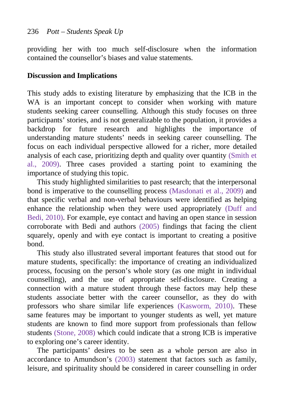providing her with too much self-disclosure when the information contained the counsellor's biases and value statements.

# **Discussion and Implications**

This study adds to existing literature by emphasizing that the ICB in the WA is an important concept to consider when working with mature students seeking career counselling. Although this study focuses on three participants' stories, and is not generalizable to the population, it provides a backdrop for future research and highlights the importance of understanding mature students' needs in seeking career counselling. The focus on each individual perspective allowed for a richer, more detailed analysis of each case, prioritizing depth and quality over quantity [\(Smith et](#page-17-5)  [al., 2009\)](#page-17-5). Three cases provided a starting point to examining the importance of studying this topic.

This study highlighted similarities to past research; that the interpersonal bond is imperative to the counselling process [\(Masdonati et al., 2009\)](#page-16-4) and that specific verbal and non-verbal behaviours were identified as helping enhance the relationship when they were used appropriately [\(Duff and](#page-15-8)  [Bedi, 2010\)](#page-15-8). For example, eye contact and having an open stance in session corroborate with Bedi and authors [\(2005\)](#page-14-1) findings that facing the client squarely, openly and with eye contact is important to creating a positive bond.

This study also illustrated several important features that stood out for mature students, specifically: the importance of creating an individualized process, focusing on the person's whole story (as one might in individual counselling), and the use of appropriate self-disclosure. Creating a connection with a mature student through these factors may help these students associate better with the career counsellor, as they do with professors who share similar life experiences [\(Kasworm, 2010\)](#page-16-8). These same features may be important to younger students as well, yet mature students are known to find more support from professionals than fellow students [\(Stone, 2008\)](#page-17-2) which could indicate that a strong ICB is imperative to exploring one's career identity.

The participants' desires to be seen as a whole person are also in accordance to Amundson's [\(2003\)](#page-14-2) statement that factors such as family, leisure, and spirituality should be considered in career counselling in order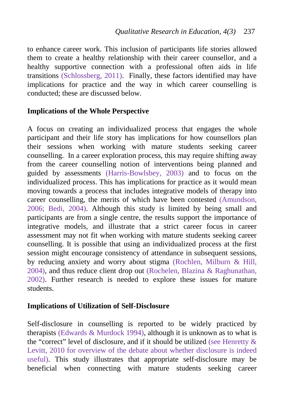to enhance career work. This inclusion of participants life stories allowed them to create a healthy relationship with their career counsellor, and a healthy supportive connection with a professional often aids in life transitions [\(Schlossberg, 2011\)](#page-17-6). Finally, these factors identified may have implications for practice and the way in which career counselling is conducted; these are discussed below.

# **Implications of the Whole Perspective**

A focus on creating an individualized process that engages the whole participant and their life story has implications for how counsellors plan their sessions when working with mature students seeking career counselling. In a career exploration process, this may require shifting away from the career counselling notion of interventions being planned and guided by assessments [\(Harris-Bowlsbey, 2003\)](#page-15-7) and to focus on the individualized process. This has implications for practice as it would mean moving towards a process that includes integrative models of therapy into career counselling, the merits of which have been contested [\(Amundson,](#page-14-3)  [2006;](#page-14-3) [Bedi, 2004\)](#page-14-4). Although this study is limited by being small and participants are from a single centre, the results support the importance of integrative models, and illustrate that a strict career focus in career assessment may not fit when working with mature students seeking career counselling. It is possible that using an individualized process at the first session might encourage consistency of attendance in subsequent sessions, by reducing anxiety and worry about stigma [\(Rochlen, Milburn & Hill,](#page-16-9)  [2004\)](#page-16-9), and thus reduce client drop out [\(Rochelen, Blazina & Raghunathan,](#page-16-6)  [2002\)](#page-16-6). Further research is needed to explore these issues for mature students.

## **Implications of Utilization of Self-Disclosure**

Self-disclosure in counselling is reported to be widely practiced by therapists [\(Edwards & Murdock 1994\)](#page-15-9), although it is unknown as to what is the "correct" level of disclosure, and if it should be utilized (see [Henretty &](#page-15-10)  [Levitt, 2010](#page-15-10) for overview of the debate about whether disclosure is indeed useful). This study illustrates that appropriate self-disclosure may be beneficial when connecting with mature students seeking career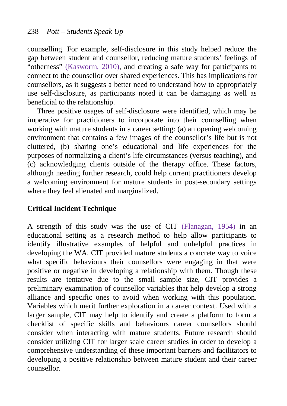counselling. For example, self-disclosure in this study helped reduce the gap between student and counsellor, reducing mature students' feelings of "otherness" [\(Kasworm, 2010\)](#page-16-8), and creating a safe way for participants to connect to the counsellor over shared experiences. This has implications for counsellors, as it suggests a better need to understand how to appropriately use self-disclosure, as participants noted it can be damaging as well as beneficial to the relationship.

Three positive usages of self-disclosure were identified, which may be imperative for practitioners to incorporate into their counselling when working with mature students in a career setting: (a) an opening welcoming environment that contains a few images of the counsellor's life but is not cluttered, (b) sharing one's educational and life experiences for the purposes of normalizing a client's life circumstances (versus teaching), and (c) acknowledging clients outside of the therapy office. These factors, although needing further research, could help current practitioners develop a welcoming environment for mature students in post-secondary settings where they feel alienated and marginalized.

# **Critical Incident Technique**

A strength of this study was the use of CIT [\(Flanagan, 1954\)](#page-15-4) in an educational setting as a research method to help allow participants to identify illustrative examples of helpful and unhelpful practices in developing the WA. CIT provided mature students a concrete way to voice what specific behaviours their counsellors were engaging in that were positive or negative in developing a relationship with them. Though these results are tentative due to the small sample size, CIT provides a preliminary examination of counsellor variables that help develop a strong alliance and specific ones to avoid when working with this population. Variables which merit further exploration in a career context. Used with a larger sample, CIT may help to identify and create a platform to form a checklist of specific skills and behaviours career counsellors should consider when interacting with mature students. Future research should consider utilizing CIT for larger scale career studies in order to develop a comprehensive understanding of these important barriers and facilitators to developing a positive relationship between mature student and their career counsellor.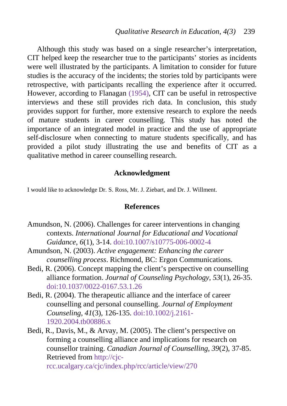Although this study was based on a single researcher's interpretation, CIT helped keep the researcher true to the participants' stories as incidents were well illustrated by the participants. A limitation to consider for future studies is the accuracy of the incidents; the stories told by participants were retrospective, with participants recalling the experience after it occurred. However, according to Flanagan [\(1954\)](#page-15-4), CIT can be useful in retrospective interviews and these still provides rich data. In conclusion, this study provides support for further, more extensive research to explore the needs of mature students in career counselling. This study has noted the importance of an integrated model in practice and the use of appropriate self-disclosure when connecting to mature students specifically, and has provided a pilot study illustrating the use and benefits of CIT as a qualitative method in career counselling research.

## **Acknowledgment**

I would like to acknowledge Dr. S. Ross, Mr. J. Ziebart, and Dr. J. Willment.

#### **References**

- <span id="page-14-3"></span>Amundson, N. (2006). Challenges for career interventions in changing contexts. *International Journal for Educational and Vocational Guidance*, *6*(1), 3-14. doi[:10.1007/s10775-006-0002-4](http://dx.doi.org/10.1007/s10775-006-0002-4)
- <span id="page-14-2"></span>Amundson, N. (2003). *Active engagement: Enhancing the career counselling process*. Richmond, BC: Ergon Communications.
- <span id="page-14-0"></span>Bedi, R. (2006). Concept mapping the client's perspective on counselling alliance formation. *Journal of Counseling Psychology*, *53*(1), 26-35. doi[:10.1037/0022-0167.53.1.26](http://dx.doi.org/10.1037/0022-0167.53.1.26)
- <span id="page-14-4"></span>Bedi, R. (2004). The therapeutic alliance and the interface of career counselling and personal counselling. *Journal of Employment Counseling*, *41*(3), 126-135. doi[:10.1002/j.2161-](http://dx.doi.org/10.1002/j.2161-1920.2004.tb00886.x) [1920.2004.tb00886.x](http://dx.doi.org/10.1002/j.2161-1920.2004.tb00886.x)
- <span id="page-14-1"></span>Bedi, R., Davis, M., & Arvay, M. (2005). The client's perspective on forming a counselling alliance and implications for research on counsellor training. *Canadian Journal of Counselling*, *39*(2), 37-85. Retrieved from [http://cjc-](http://cjc-rcc.ucalgary.ca/cjc/index.php/rcc/article/view/270)

[rcc.ucalgary.ca/cjc/index.php/rcc/article/view/270](http://cjc-rcc.ucalgary.ca/cjc/index.php/rcc/article/view/270)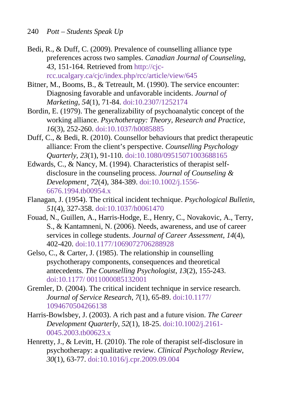- <span id="page-15-5"></span><span id="page-15-2"></span>Bedi, R., & Duff, C. (2009). Prevalence of counselling alliance type preferences across two samples. *Canadian Journal of Counseling*, *43*, 151-164. Retrieved from [http://cjc](http://cjc-rcc.ucalgary.ca/cjc/index.php/rcc/article/view/645)[rcc.ucalgary.ca/cjc/index.php/rcc/article/view/645](http://cjc-rcc.ucalgary.ca/cjc/index.php/rcc/article/view/645)
- Bitner, M., Booms, B., & Tetreault, M. (1990). The service encounter: Diagnosing favorable and unfavorable incidents. *Journal of Marketing*, *54*(1), 71-84. doi[:10.2307/1252174](http://dx.doi.org/10.2307/1252174)
- <span id="page-15-1"></span>Bordin, E. (1979). The generalizability of psychoanalytic concept of the working alliance. *Psychotherapy: Theory, Research and Practice*, *16*(3), 252-260. doi[:10.1037/h0085885](http://dx.doi.org/10.1037/h0085885)
- <span id="page-15-8"></span>Duff, C., & Bedi, R. (2010). Counsellor behaviours that predict therapeutic alliance: From the client's perspective. *Counselling Psychology Quarterly*, *23*(1), 91-110. doi[:10.1080/09515071003688165](http://dx.doi.org/10.1080/09515071003688165)
- <span id="page-15-9"></span>Edwards, C., & Nancy, M. (1994). Characteristics of therapist selfdisclosure in the counseling process. *Journal of Counseling & Development*¸ *72*(4), 384-389. doi[:10.1002/j.1556-](http://dx.doi.org/10.1002/j.1556-6676.1994.tb00954.x) [6676.1994.tb00954.x](http://dx.doi.org/10.1002/j.1556-6676.1994.tb00954.x)
- <span id="page-15-4"></span>Flanagan, J. (1954). The critical incident technique. *Psychological Bulletin*, *51*(4), 327-358. doi[:10.1037/h0061470](http://dx.doi.org/10.1037/h0061470)
- <span id="page-15-0"></span>Fouad, N., Guillen, A., Harris-Hodge, E., Henry, C., Novakovic, A., Terry, S., & Kantamneni, N. (2006). Needs, awareness, and use of career services in college students. *Journal of Career Assessment*, *14*(4), 402-420. doi[:10.1177/1069072706288928](http://dx.doi.org/10.1177/1069072706288928)
- <span id="page-15-3"></span>Gelso, C., & Carter, J. (1985). The relationship in counselling psychotherapy components, consequences and theoretical antecedents. *The Counselling Psychologist*, *13*(2), 155-243. doi:10.1177/ [0011000085132001](http://dx.doi.org/10.1177/0011000085132001)
- <span id="page-15-6"></span>Gremler, D. (2004). The critical incident technique in service research. *Journal of Service Research*, *7*(1), 65-89. doi[:10.1177/](http://dx.doi.org/10.1177/1094670504266138) [1094670504266138](http://dx.doi.org/10.1177/1094670504266138)
- <span id="page-15-7"></span>Harris-Bowlsbey, J. (2003). A rich past and a future vision. *The Career Development Quarterly*, *52*(1), 18-25. doi[:10.1002/j.2161-](http://dx.doi.org/10.1002/j.2161-0045.2003.tb00623.x) [0045.2003.tb00623.x](http://dx.doi.org/10.1002/j.2161-0045.2003.tb00623.x)
- <span id="page-15-10"></span>Henretty, J., & Levitt, H. (2010). The role of therapist self-disclosure in psychotherapy: a qualitative review. *Clinical Psychology Review*, *30*(1), 63-77. doi[:10.1016/j.cpr.2009.09.004](http://dx.doi.org/10.1016/j.cpr.2009.09.004)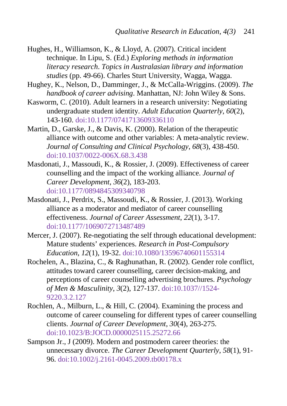- <span id="page-16-7"></span>Hughes, H., Williamson, K., & Lloyd, A. (2007). Critical incident technique. In Lipu, S. (Ed.) *Exploring methods in information literacy research*. *Topics in Australasian library and information studies* (pp. 49-66). Charles Sturt University, Wagga, Wagga.
- <span id="page-16-2"></span>Hughey, K., Nelson, D., Damminger, J., & McCalla-Wriggins. (2009). *The handbook of career advising*. Manhattan, NJ: John Wiley & Sons.
- <span id="page-16-8"></span>Kasworm, C. (2010). Adult learners in a research university: Negotiating undergraduate student identity. *Adult Education Quarterly*, *60*(2), 143-160. doi[:10.1177/0741713609336110](http://dx.doi.org/10.1177/0741713609336110)
- <span id="page-16-3"></span>Martin, D., Garske, J., & Davis, K. (2000). Relation of the therapeutic alliance with outcome and other variables: A meta-analytic review. *Journal of Consulting and Clinical Psychology*, *68*(3), 438-450. doi[:10.1037/0022-006X.68.3.438](http://dx.doi.org/10.1037/0022-006X.68.3.438)
- <span id="page-16-4"></span>Masdonati, J., Massoudi, K., & Rossier, J. (2009). Effectiveness of career counselling and the impact of the working alliance. *Journal of Career Development*, *36*(2), 183-203. doi[:10.1177/0894845309340798](http://dx.doi.org/10.1177/0894845309340798)
- <span id="page-16-5"></span>Masdonati, J., Perdrix, S., Massoudi, K., & Rossier, J. (2013). Working alliance as a moderator and mediator of career counselling effectiveness. *Journal of Career Assessment*, *22*(1), 3-17. doi[:10.1177/1069072713487489](http://dx.doi.org/10.1177/1069072713487489)
- <span id="page-16-0"></span>Mercer, J. (2007). Re-negotiating the self through educational development: Mature students' experiences. *Research in Post-Compulsory Education*, *12*(1), 19-32. doi[:10.1080/13596740601155314](http://dx.doi.org/10.1080/13596740601155314)
- <span id="page-16-6"></span>Rochelen, A., Blazina, C., & Raghunathan, R. (2002). Gender role conflict, attitudes toward career counselling, career decision-making, and perceptions of career counselling advertising brochures. *Psychology of Men & Masculinity*, *3*(2), 127-137. doi[:10.1037//1524-](http://dx.doi.org/10.1037/1524-9220.3.2.127) [9220.3.2.127](http://dx.doi.org/10.1037/1524-9220.3.2.127)
- <span id="page-16-9"></span>Rochlen, A., Milburn, L., & Hill, C. (2004). Examining the process and outcome of career counseling for different types of career counselling clients. *Journal of Career Development*, *30*(4), 263-275. doi:[10.1023/B:JOCD.0000025115.25272.66](http://dx.doi.org/10.1023/B:JOCD.0000025115.25272.66)
- <span id="page-16-1"></span>Sampson Jr., J (2009). Modern and postmodern career theories: the unnecessary divorce. *The Career Development Quarterly*, *58*(1), 91- 96. doi[:10.1002/j.2161-0045.2009.tb00178.x](http://dx.doi.org/10.1002/j.2161-0045.2009.tb00178.x)